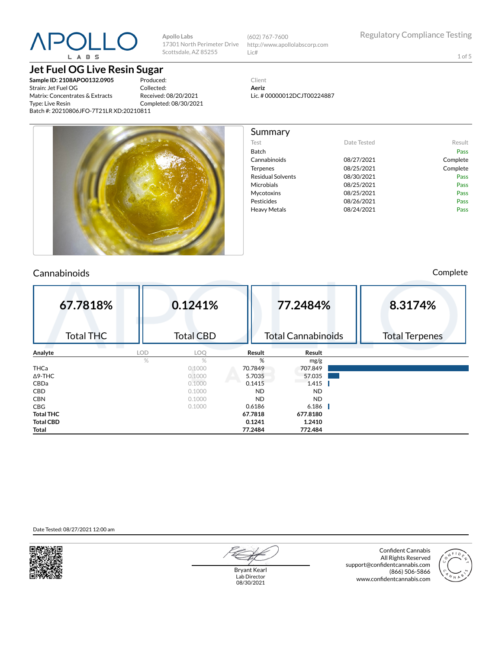# L A B S

**Jet Fuel OG Live Resin Sugar**

**Sample ID: 2108APO0132.0905** Strain: Jet Fuel OG Matrix: Concentrates & Extracts Type: Live Resin Batch #: 20210806JFO-7T21LR XD:20210811

Produced: Collected: Received: 08/20/2021 Completed: 08/30/2021

**Apollo Labs**

Scottsdale, AZ 85255



Test **Date Tested** Result Batch Pass Cannabinoids 08/27/2021 Complete Terpenes 08/25/2021 Complete Residual Solvents **08/30/2021** Pass Microbials 08/25/2021 Pass Mycotoxins 08/25/2021 Pass Pesticides 08/26/2021 Pass Heavy Metals **DB/24/2021** Pass

1 of 5

Client **Aeriz** Lic. # 00000012DCJT00224887

Summary



#### Cannabinoids Complete

| 67.7818%         |      | 0.1241%          |           | 77.2484%                  | 8.3174%               |
|------------------|------|------------------|-----------|---------------------------|-----------------------|
| <b>Total THC</b> |      | <b>Total CBD</b> |           | <b>Total Cannabinoids</b> | <b>Total Terpenes</b> |
| Analyte          | LOD  | LOQ              | Result    | Result                    |                       |
|                  | $\%$ | $\%$             | %         | mg/g                      |                       |
| <b>THCa</b>      |      | 0.1000           | 70.7849   | 707.849                   |                       |
| $\Delta$ 9-THC   |      | 0.1000           | 5.7035    | 57.035                    |                       |
| CBDa             |      | 0.1000           | 0.1415    | 1.415                     |                       |
| <b>CBD</b>       |      | 0.1000           | <b>ND</b> | <b>ND</b>                 |                       |
| <b>CBN</b>       |      | 0.1000           | <b>ND</b> | <b>ND</b>                 |                       |
| <b>CBG</b>       |      | 0.1000           | 0.6186    | 6.186                     |                       |
| <b>Total THC</b> |      |                  | 67.7818   | 677.8180                  |                       |
| <b>Total CBD</b> |      |                  | 0.1241    | 1.2410                    |                       |
| Total            |      |                  | 77.2484   | 772.484                   |                       |

Date Tested: 08/27/2021 12:00 am



Bryant Kearl Lab Director 08/30/2021

Confident Cannabis All Rights Reserved support@confidentcannabis.com (866) 506-5866 www.confidentcannabis.com

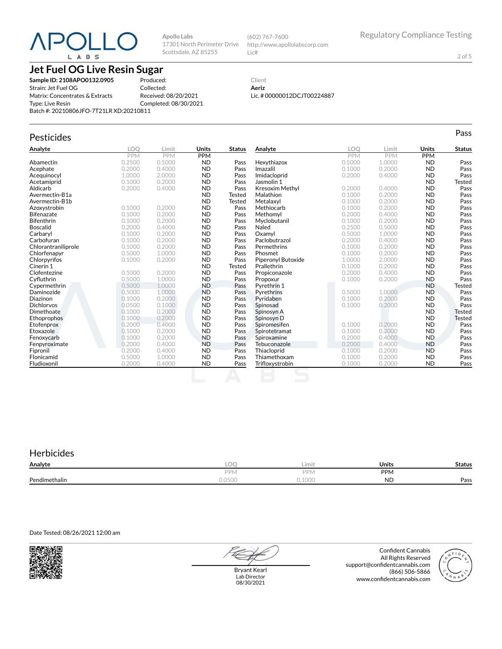# —( L A B S

17301 North Perimeter Drive Scottsdale, AZ 85255

**Jet Fuel OG Live Resin Sugar**

**Sample ID: 2108APO0132.0905** Strain: Jet Fuel OG Matrix: Concentrates & Extracts Type: Live Resin Batch #: 20210806JFO-7T21LR XD:20210811

Produced: Collected: Received: 08/20/2021 Completed: 08/30/2021

**Apollo Labs**

http://www.apollolabscorp.com Lic#

(602) 767-7600

2 of 5

#### Client **Aeriz** Lic. # 00000012DCJT00224887

### Pesticides **Passage of the Contract of Contract Contract of Contract Contract Contract Contract Contract Contract Contract Contract Contract Contract Contract Contract Contract Contract Contract Contract Contract Contract**

| Analyte             | LOO    | Limit  | Units     | <b>Status</b> | Analyte                | LOO    | Limit  | <b>Units</b> | <b>Status</b> |
|---------------------|--------|--------|-----------|---------------|------------------------|--------|--------|--------------|---------------|
|                     | PPM    | PPM    | PPM       |               |                        | PPM    | PPM    | <b>PPM</b>   |               |
| Abamectin           | 0.2500 | 0.5000 | <b>ND</b> | Pass          | Hexythiazox            | 0.5000 | 1.0000 | <b>ND</b>    | Pass          |
| Acephate            | 0.2000 | 0.4000 | <b>ND</b> | Pass          | Imazalil               | 0.1000 | 0.2000 | <b>ND</b>    | Pass          |
| Acequinocyl         | 1.0000 | 2.0000 | <b>ND</b> | Pass          | Imidacloprid           | 0.2000 | 0.4000 | <b>ND</b>    | Pass          |
| Acetamiprid         | 0.1000 | 0.2000 | <b>ND</b> | Pass          | Jasmolin 1             |        |        | <b>ND</b>    | <b>Tested</b> |
| Aldicarb            | 0.2000 | 0.4000 | <b>ND</b> | Pass          | <b>Kresoxim Methyl</b> | 0.2000 | 0.4000 | <b>ND</b>    | Pass          |
| Avermectin-B1a      |        |        | <b>ND</b> | Tested        | Malathion              | 0.1000 | 0.2000 | <b>ND</b>    | Pass          |
| Avermectin-B1b      |        |        | <b>ND</b> | <b>Tested</b> | Metalaxyl              | 0.1000 | 0.2000 | <b>ND</b>    | Pass          |
| Azoxystrobin        | 0.1000 | 0.2000 | <b>ND</b> | Pass          | Methiocarb             | 0.1000 | 0.2000 | <b>ND</b>    | Pass          |
| Bifenazate          | 0.1000 | 0.2000 | <b>ND</b> | Pass          | Methomyl               | 0.2000 | 0.4000 | <b>ND</b>    | Pass          |
| Bifenthrin          | 0.1000 | 0.2000 | <b>ND</b> | Pass          | Myclobutanil           | 0.1000 | 0.2000 | <b>ND</b>    | Pass          |
| <b>Boscalid</b>     | 0.2000 | 0.4000 | <b>ND</b> | Pass          | Naled                  | 0.2500 | 0.5000 | <b>ND</b>    | Pass          |
| Carbaryl            | 0.1000 | 0.2000 | <b>ND</b> | Pass          | Oxamvl                 | 0.5000 | 1.0000 | <b>ND</b>    | Pass          |
| Carbofuran          | 0.1000 | 0.2000 | <b>ND</b> | Pass          | Paclobutrazol          | 0.2000 | 0.4000 | <b>ND</b>    | Pass          |
| Chlorantraniliprole | 0.1000 | 0.2000 | <b>ND</b> | Pass          | Permethrins            | 0.1000 | 0.2000 | <b>ND</b>    | Pass          |
| Chlorfenapyr        | 0.5000 | 1.0000 | <b>ND</b> | Pass          | Phosmet                | 0.1000 | 0.2000 | <b>ND</b>    | Pass          |
| Chlorpyrifos        | 0.1000 | 0.2000 | <b>ND</b> | Pass          | Piperonyl Butoxide     | 1.0000 | 2.0000 | <b>ND</b>    | Pass          |
| Cinerin 1           |        |        | <b>ND</b> | Tested        | Prallethrin            | 0.1000 | 0.2000 | <b>ND</b>    | Pass          |
| Clofentezine        | 0.1000 | 0.2000 | <b>ND</b> | Pass          | Propiconazole          | 0.2000 | 0.4000 | <b>ND</b>    | Pass          |
| Cyfluthrin          | 0.5000 | 1.0000 | <b>ND</b> | Pass          | Propoxur               | 0.1000 | 0.2000 | <b>ND</b>    | Pass          |
| Cypermethrin        | 0.5000 | 1.0000 | <b>ND</b> | Pass          | Pyrethrin 1            |        |        | <b>ND</b>    | Tested        |
| Daminozide          | 0.5000 | 1.0000 | <b>ND</b> | Pass          | Pyrethrins             | 0.5000 | 1.0000 | <b>ND</b>    | Pass          |
| Diazinon            | 0.1000 | 0.2000 | <b>ND</b> | Pass          | Pyridaben              | 0.1000 | 0.2000 | <b>ND</b>    | Pass          |
| <b>Dichlorvos</b>   | 0.0500 | 0.1000 | <b>ND</b> | Pass          | Spinosad               | 0.1000 | 0.2000 | <b>ND</b>    | Pass          |
| Dimethoate          | 0.1000 | 0.2000 | <b>ND</b> | Pass          | Spinosyn A             |        |        | <b>ND</b>    | <b>Tested</b> |
| Ethoprophos         | 0.1000 | 0.2000 | <b>ND</b> | Pass          | Spinosyn D             |        |        | <b>ND</b>    | Tested        |
| Etofenprox          | 0.2000 | 0.4000 | <b>ND</b> | Pass          | Spiromesifen           | 0.1000 | 0.2000 | <b>ND</b>    | Pass          |
| Etoxazole           | 0.1000 | 0.2000 | <b>ND</b> | Pass          | Spirotetramat          | 0.1000 | 0.2000 | <b>ND</b>    | Pass          |
| Fenoxycarb          | 0.1000 | 0.2000 | <b>ND</b> | Pass          | Spiroxamine            | 0.2000 | 0.4000 | <b>ND</b>    | Pass          |
| Fenpyroximate       | 0.2000 | 0.4000 | <b>ND</b> | Pass          | Tebuconazole           | 0.2000 | 0.4000 | <b>ND</b>    | Pass          |
| Fipronil            | 0.2000 | 0.4000 | <b>ND</b> | Pass          | Thiacloprid            | 0.1000 | 0.2000 | <b>ND</b>    | Pass          |
| Flonicamid          | 0.5000 | 1.0000 | <b>ND</b> | Pass          | Thiamethoxam           | 0.1000 | 0.2000 | <b>ND</b>    | Pass          |
| Fludioxonil         | 0.2000 | 0.4000 | <b>ND</b> | Pass          | Trifloxystrobin        | 0.1000 | 0.2000 | <b>ND</b>    | Pass          |
|                     |        |        |           |               |                        |        |        |              |               |

#### **Herbicides Analyte LOQ Limit Units Status** PPM **PPM** PPM Pendimethalin 0.0500 0.1000 ND Pass

Date Tested: 08/26/2021 12:00 am



Bryant Kearl Lab Director 08/30/2021

Confident Cannabis All Rights Reserved support@confidentcannabis.com (866) 506-5866 www.confidentcannabis.com

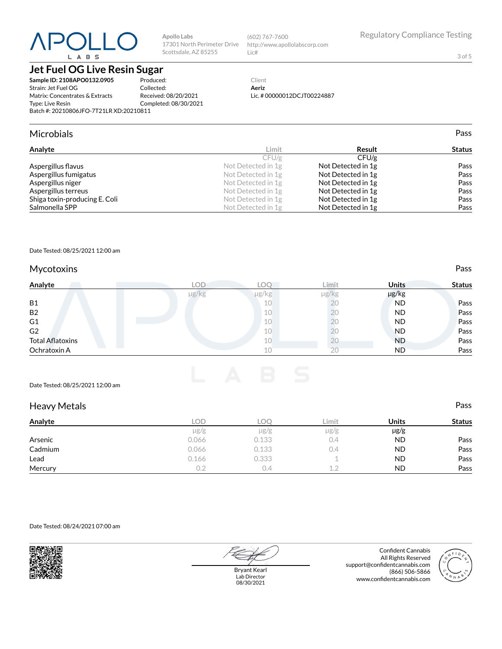# $P()$  $L$   $A$   $B$   $S$

**Jet Fuel OG Live Resin Sugar**

**Sample ID: 2108APO0132.0905** Strain: Jet Fuel OG Matrix: Concentrates & Extracts Type: Live Resin Batch #: 20210806JFO-7T21LR XD:20210811

Produced:

**Apollo Labs**

Scottsdale, AZ 85255

#### Collected:

Received: 08/20/2021 Completed: 08/30/2021

#### 17301 North Perimeter Drive http://www.apollolabscorp.com Lic#

(602) 767-7600

Client

**Aeriz** Lic. # 00000012DCJT00224887

#### Microbials Pass

| Analyte                       | Limit              | Result             | <b>Status</b> |
|-------------------------------|--------------------|--------------------|---------------|
|                               | CFU/g              | CFU/g              |               |
| Aspergillus flavus            | Not Detected in 1g | Not Detected in 1g | Pass          |
| Aspergillus fumigatus         | Not Detected in 1g | Not Detected in 1g | Pass          |
| Aspergillus niger             | Not Detected in 1g | Not Detected in 1g | Pass          |
| Aspergillus terreus           | Not Detected in 1g | Not Detected in 1g | Pass          |
| Shiga toxin-producing E. Coli | Not Detected in 1g | Not Detected in 1g | Pass          |
| Salmonella SPP                | Not Detected in 1g | Not Detected in 1g | Pass          |

#### Date Tested: 08/25/2021 12:00 am

#### Mycotoxins **Pass**

| Analyte                 | LOD   | LOC        | Limit | <b>Units</b> | <b>Status</b> |
|-------------------------|-------|------------|-------|--------------|---------------|
|                         | µg/kg | $\mu$ g/kg | µg/kg | µg/kg        |               |
| <b>B1</b>               |       | 10         | 20    | <b>ND</b>    | Pass          |
| B <sub>2</sub>          |       | 10         | 20    | <b>ND</b>    | Pass          |
| G <sub>1</sub>          |       | 10         | 20    | <b>ND</b>    | Pass          |
| G <sub>2</sub>          |       | 10         | 20    | <b>ND</b>    | Pass          |
| <b>Total Aflatoxins</b> |       | 10         | ŻŪ    | <b>ND</b>    | Pass          |
| Ochratoxin A            |       | 10         | 20    | <b>ND</b>    | Pass          |

#### Date Tested: 08/25/2021 12:00 am

| <b>Heavy Metals</b> |           |           |           |           | Pass          |
|---------------------|-----------|-----------|-----------|-----------|---------------|
| Analyte             | LOD.      | LOQ.      | Limit     | Units     | <b>Status</b> |
|                     | $\mu$ g/g | $\mu$ g/g | $\mu$ g/g | $\mu$ g/g |               |
| Arsenic             | 0.066     | 0.133     | 0.4       | <b>ND</b> | Pass          |
| Cadmium             | 0.066     | 0.133     | 0.4       | <b>ND</b> | Pass          |
| Lead                | 0.166     | 0.333     |           | <b>ND</b> | Pass          |
| Mercury             | 0.2       | 0.4       | 1.2       | <b>ND</b> | Pass          |

#### Date Tested: 08/24/2021 07:00 am



Bryant Kearl Lab Director 08/30/2021

Confident Cannabis All Rights Reserved support@confidentcannabis.com (866) 506-5866 www.confidentcannabis.com



Regulatory Compliance Testing

3 of 5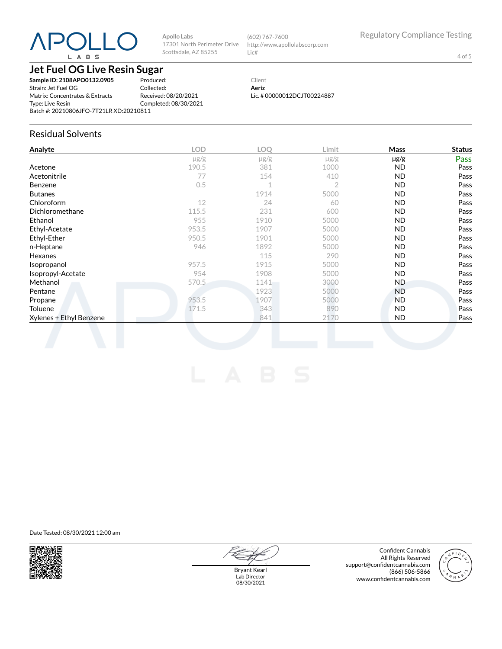# $P()$ L A B S

**Apollo Labs** 17301 North Perimeter Drive Scottsdale, AZ 85255

(602) 767-7600 http://www.apollolabscorp.com Lic#

4 of 5

#### **Jet Fuel OG Live Resin Sugar**

**Sample ID: 2108APO0132.0905** Strain: Jet Fuel OG Matrix: Concentrates & Extracts Type: Live Resin Batch #: 20210806JFO-7T21LR XD:20210811

Produced: Collected: Received: 08/20/2021 Completed: 08/30/2021

#### Client **Aeriz** Lic. # 00000012DCJT00224887

#### Residual Solvents

| $\mu$ g/g<br>381<br>154<br>$\mathbf 1$<br>1914<br>24<br>231<br>1910<br>1907 | $\mu$ g/g<br>1000<br>410<br>$\overline{2}$<br>5000<br>60<br>600<br>5000 | $\mu$ g/g<br>ND.<br>ND.<br>ND.<br><b>ND</b><br><b>ND</b><br>ND.<br><b>ND</b> | Pass                                         |
|-----------------------------------------------------------------------------|-------------------------------------------------------------------------|------------------------------------------------------------------------------|----------------------------------------------|
|                                                                             |                                                                         |                                                                              | Pass<br>Pass<br>Pass<br>Pass<br>Pass<br>Pass |
|                                                                             |                                                                         |                                                                              |                                              |
|                                                                             |                                                                         |                                                                              |                                              |
|                                                                             |                                                                         |                                                                              |                                              |
|                                                                             |                                                                         |                                                                              |                                              |
|                                                                             |                                                                         |                                                                              |                                              |
|                                                                             |                                                                         |                                                                              |                                              |
|                                                                             |                                                                         |                                                                              | Pass                                         |
|                                                                             | 5000                                                                    | ND.                                                                          | Pass                                         |
| 1901                                                                        | 5000                                                                    | <b>ND</b>                                                                    | Pass                                         |
| 1892                                                                        | 5000                                                                    | ND.                                                                          | Pass                                         |
| 115                                                                         | 290                                                                     | ND.                                                                          | Pass                                         |
| 1915                                                                        | 5000                                                                    | ND.                                                                          | Pass                                         |
| 1908                                                                        | 5000                                                                    | ND.                                                                          | Pass                                         |
| 1141                                                                        | 3000                                                                    | ND.                                                                          | Pass                                         |
| 1923                                                                        | 5000                                                                    | ND.                                                                          | Pass                                         |
| 1907                                                                        | 5000                                                                    | <b>ND</b>                                                                    | Pass                                         |
| 343                                                                         | 890                                                                     | ND.                                                                          | Pass                                         |
| 841                                                                         | 2170                                                                    | ND.                                                                          | Pass                                         |
|                                                                             |                                                                         |                                                                              |                                              |

Date Tested: 08/30/2021 12:00 am



Bryant Kearl Lab Director 08/30/2021

Confident Cannabis All Rights Reserved support@confidentcannabis.com (866) 506-5866 www.confidentcannabis.com